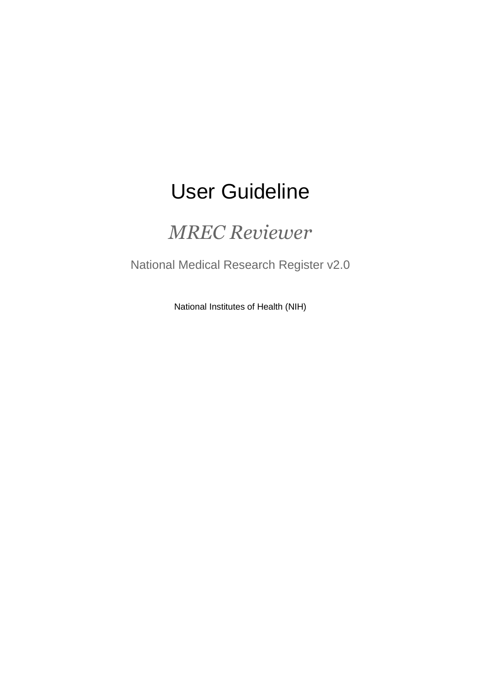# User Guideline

## *MREC Reviewer*

National Medical Research Register v2.0

National Institutes of Health (NIH)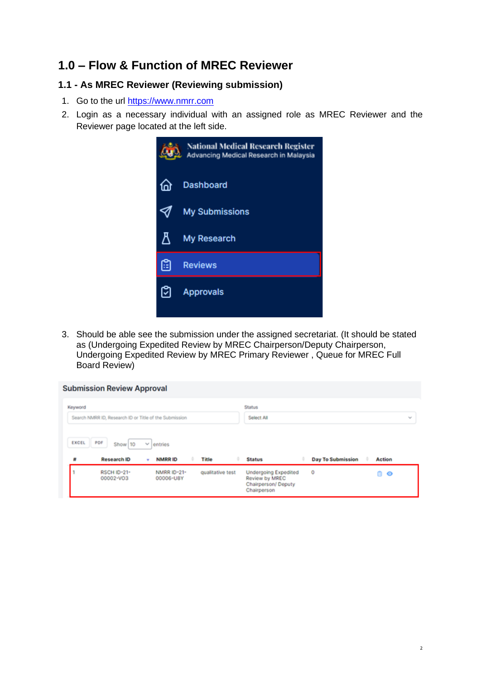## **1.0 – Flow & Function of MREC Reviewer**

### **1.1 - As MREC Reviewer (Reviewing submission)**

- 1. Go to the url [https://www.nmrr.com](https://www.nmrr.com/)
- 2. Login as a necessary individual with an assigned role as MREC Reviewer and the Reviewer page located at the left side.



3. Should be able see the submission under the assigned secretariat. (It should be stated as (Undergoing Expedited Review by MREC Chairperson/Deputy Chairperson, Undergoing Expedited Review by MREC Primary Reviewer , Queue for MREC Full Board Review)

|                   | <b>Submission Review Approval</b>                      |                    |                          |       |               |                          |               |               |
|-------------------|--------------------------------------------------------|--------------------|--------------------------|-------|---------------|--------------------------|---------------|---------------|
| Keyword           |                                                        |                    |                          |       | <b>Status</b> |                          |               |               |
|                   | Search NMRR ID, Research ID or Title of the Submission |                    |                          |       | Select All    |                          |               | $\mathcal{L}$ |
|                   |                                                        |                    |                          |       |               |                          |               |               |
| <b>EXCEL</b><br>聲 | PDF<br>Show 10<br><b>Research ID</b>                   | $\mathcal{M}$<br>٠ | entries<br><b>NMRRID</b> | Title | <b>Status</b> | <b>Day To Submission</b> | <b>Action</b> |               |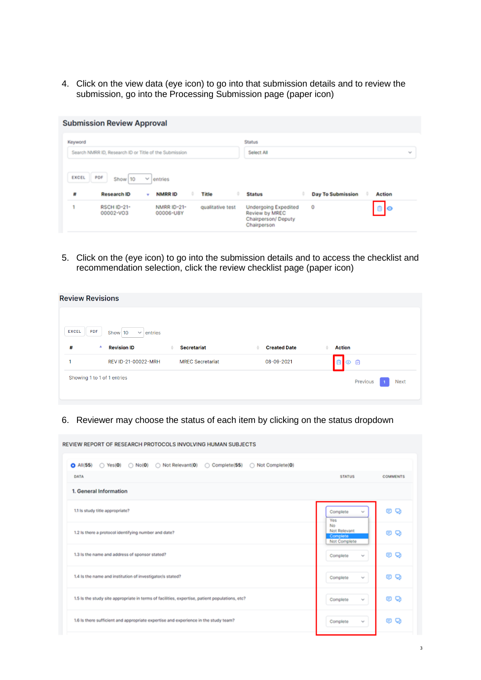4. Click on the view data (eye icon) to go into that submission details and to review the submission, go into the Processing Submission page (paper icon)

|            | <b>Submission Review Approval</b>                      |                    |                          |       |               |                          |               |        |
|------------|--------------------------------------------------------|--------------------|--------------------------|-------|---------------|--------------------------|---------------|--------|
| Keyword    |                                                        |                    |                          |       | <b>Status</b> |                          |               |        |
|            | Search NMRR ID, Research ID or Title of the Submission |                    |                          |       | Select All    |                          |               | $\sim$ |
|            |                                                        |                    |                          |       |               |                          |               |        |
| EXCEL<br>計 | PDF<br>Show 10<br><b>Research ID</b>                   | $\mathcal{L}$<br>٠ | entries<br><b>NMRRID</b> | Title | <b>Status</b> | <b>Day To Submission</b> | <b>Action</b> |        |

5. Click on the (eye icon) to go into the submission details and to access the checklist and recommendation selection, click the review checklist page (paper icon)

| <b>Review Revisions</b>               |                         |                     |                               |
|---------------------------------------|-------------------------|---------------------|-------------------------------|
| <b>EXCEL</b><br><b>PDF</b><br>Show 10 | entries<br>$\checkmark$ |                     |                               |
| #<br><b>Revision ID</b><br>▲          | <b>Secretariat</b><br>÷ | <b>Created Date</b> | <b>Action</b><br>$\triangleq$ |
| REV ID-21-00022-MRH                   | <b>MREC Secretariat</b> | 08-09-2021          | 面<br>$\circ$ 0                |
| Showing 1 to 1 of 1 entries           |                         |                     | Previous<br><b>Next</b>       |
|                                       |                         |                     |                               |

6. Reviewer may choose the status of each item by clicking on the status dropdown

| REVIEW REPORT OF RESEARCH PROTOCOLS INVOLVING HUMAN SUBJECTS                                                         |                                                |                 |
|----------------------------------------------------------------------------------------------------------------------|------------------------------------------------|-----------------|
| $\bigcirc$ All(55) $\bigcirc$ Yes(0) $\bigcirc$ No(0) $\bigcirc$ Not Relevant(0)<br>◯ Complete(55) ◯ Not Complete(0) |                                                |                 |
| DATA                                                                                                                 | <b>STATUS</b>                                  | <b>COMMENTS</b> |
| 1. General Information                                                                                               |                                                |                 |
| 1.1 Is study title appropriate?                                                                                      | Complete<br>v<br><b>Yes</b>                    | Q<br>œ          |
| 1.2 Is there a protocol identifying number and date?                                                                 | No<br>Not Relevant<br>Complete<br>Not Complete | o<br>Q          |
| 1.3 is the name and address of sponsor stated?                                                                       | Complete<br>v                                  | Q<br>O          |
| 1.4 Is the name and institution of investigator/s stated?                                                            | Complete<br>$\mathcal{L}_{\mathcal{C}}$        | 6 Q             |
| 1.5 Is the study site appropriate in terms of facilities, expertise, patient populations, etc?                       | Complete<br>$\mathcal{L}_{\mathbf{a}}$         | 6 Q             |
| 1.6 is there sufficient and appropriate expertise and experience in the study team?                                  | Complete<br>$\sim$                             | Q<br>Θ          |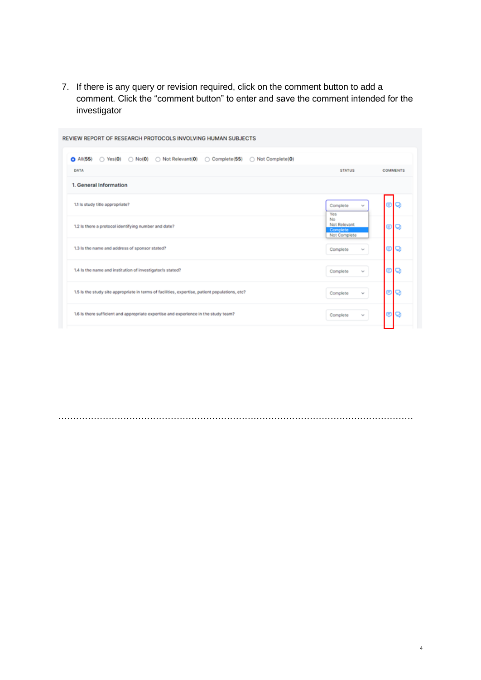7. If there is any query or revision required, click on the comment button to add a comment. Click the "comment button" to enter and save the comment intended for the investigator

| Not Relevant(0)<br>◯ Not Complete(0)<br>$O$ All(55)<br>C Complete(55)<br>$\bigcirc$ Yes(O)<br>$\bigcirc$ No(0) |                                                |                 |
|----------------------------------------------------------------------------------------------------------------|------------------------------------------------|-----------------|
| DATA                                                                                                           | <b>STATUS</b>                                  | <b>COMMENTS</b> |
| 1. General Information                                                                                         |                                                |                 |
| 1.1 Is study title appropriate?                                                                                | Complete<br>v<br><b>Yes</b>                    | © Q             |
| 1.2 Is there a protocol identifying number and date?                                                           | No<br>Not Relevant<br>Complete<br>Not Complete | 8 Q             |
| 1.3 Is the name and address of sponsor stated?                                                                 | Complete<br>w                                  | o<br>Ξ          |
| 1.4 Is the name and institution of investigator/s stated?                                                      | Complete<br>$\mathcal{L}_{\mathcal{C}}$        | 89              |
| 1.5 Is the study site appropriate in terms of facilities, expertise, patient populations, etc?                 | Complete<br>$\sim$                             | 0 Q             |
| 1.6 Is there sufficient and appropriate expertise and experience in the study team?                            | Complete<br>$\sim$                             | 80              |

…………………………………………………………………………………………………………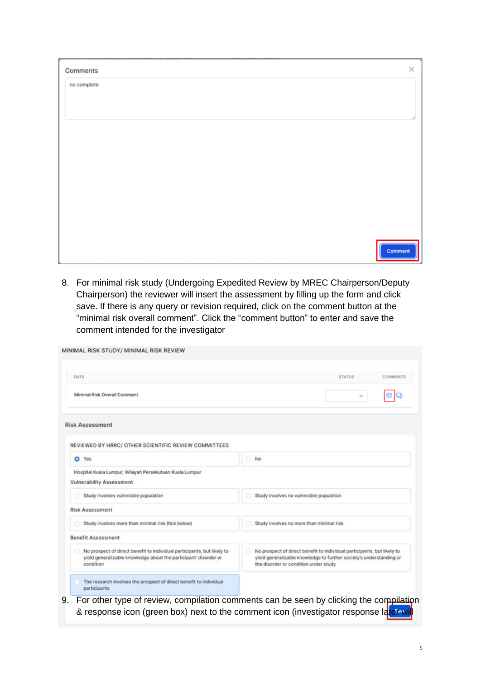| Comments    | $\times$ |
|-------------|----------|
| no complete |          |
|             |          |
|             |          |
|             |          |
|             |          |
|             |          |
|             |          |
|             |          |
|             |          |
|             |          |
|             | Comment  |

8. For minimal risk study (Undergoing Expedited Review by MREC Chairperson/Deputy Chairperson) the reviewer will insert the assessment by filling up the form and click save. If there is any query or revision required, click on the comment button at the "minimal risk overall comment". Click the "comment button" to enter and save the comment intended for the investigator

| DATA                                                                                                                                                     | <b>STATUS</b><br>COMMENTS                                                                                                                                                               |
|----------------------------------------------------------------------------------------------------------------------------------------------------------|-----------------------------------------------------------------------------------------------------------------------------------------------------------------------------------------|
| <b>Minimal Risk Overall Comment</b>                                                                                                                      |                                                                                                                                                                                         |
| <b>Risk Assessment</b>                                                                                                                                   |                                                                                                                                                                                         |
| REVIEWED BY HRRC/ OTHER SCIENTIFIC REVIEW COMMITTEES                                                                                                     |                                                                                                                                                                                         |
| Yes<br>o                                                                                                                                                 | No                                                                                                                                                                                      |
| Hospital Kuala Lumpur, Wilayah Persekutuan Kuala Lumpur<br>Vulnerability Assessment                                                                      |                                                                                                                                                                                         |
| Study involves vulnerable population                                                                                                                     | Study involves no vulnerable population                                                                                                                                                 |
| <b>Risk Assessment</b>                                                                                                                                   |                                                                                                                                                                                         |
| Study involves more than minimal risk (tick below)                                                                                                       | Study involves no more than minimal risk                                                                                                                                                |
| <b>Benefit Assessment</b>                                                                                                                                |                                                                                                                                                                                         |
| No prospect of direct benefit to individual participants, but likely to<br>yield generalizable knowledge about the participant' disorder or<br>condition | No prospect of direct benefit to individual participants, but likely to<br>yield generalizable knowledge to further society's understanding or<br>the disorder or condition under study |
| The research involves the prospect of direct benefit to individual<br>participants                                                                       |                                                                                                                                                                                         |

& response icon (green box) next to the comment icon (investigator response later wil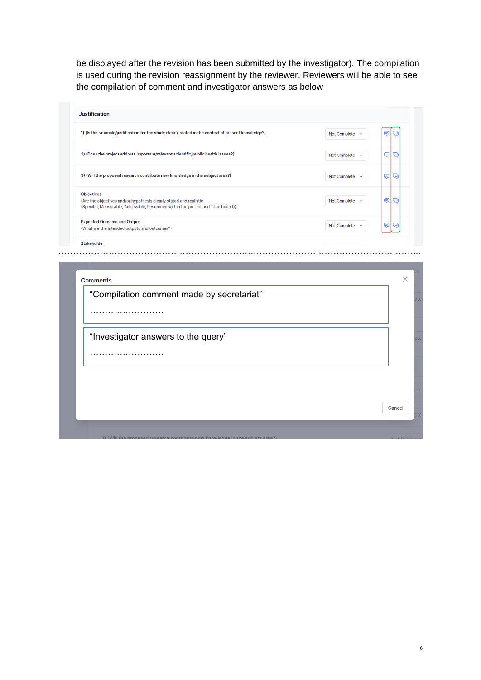be displayed after the revision has been submitted by the investigator). The compilation is used during the revision reassignment by the reviewer. Reviewers will be able to see the compilation of comment and investigator answers as below

| <b>Justification</b>                                                                                                                                                        |                                     |   |
|-----------------------------------------------------------------------------------------------------------------------------------------------------------------------------|-------------------------------------|---|
| 1) (Is the rationale/justification for the study clearly stated in the context of present knowledge?)                                                                       | Not Complete $\sim$                 | Ε |
| 2) (Does the project address important/relevant scientific/public health issues?)                                                                                           | Not Complete $\sim$                 | ⋐ |
| 3) (Will the proposed research contribute new knowledge in the subject area?)                                                                                               | <b>Not Complete</b><br>$\checkmark$ | € |
| <b>Objectives</b><br>(Are the objectives and/or hypothesis clearly stated and realistic<br>(Specific, Measurable, Achievable, Resourced within the project and Time bound)) | Not Complete $\sim$                 | € |
| <b>Expected Outcome and Output</b><br>(What are the intended outputs and outcomes?)                                                                                         | <b>Not Complete</b><br>$\checkmark$ | e |
| <b>Stakeholder</b>                                                                                                                                                          |                                     |   |

…………………………………………………………………………………………………………...

| "Investigator answers to the query" |
|-------------------------------------|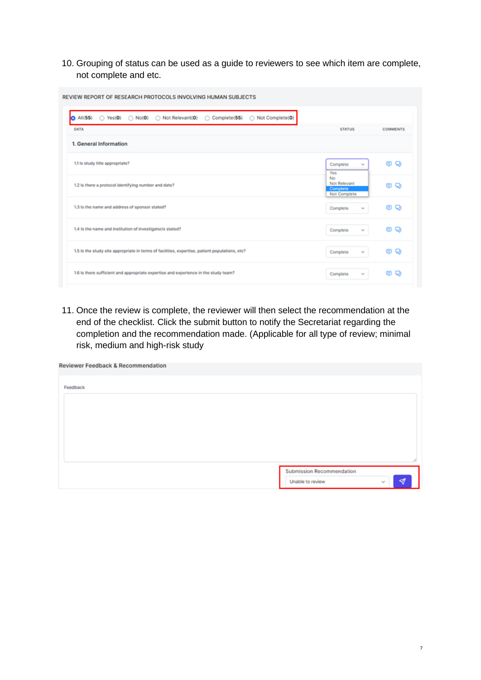10. Grouping of status can be used as a guide to reviewers to see which item are complete, not complete and etc.

| $O$ All $(55)$<br>◯ Not Relevant(0)<br>Complete(55)<br>Not Complete(0)<br>$\bigcirc$ Yes(O)<br>$\bigcirc$ No(0) |                                         |                 |
|-----------------------------------------------------------------------------------------------------------------|-----------------------------------------|-----------------|
| DATA                                                                                                            | <b>STATUS</b>                           | <b>COMMENTS</b> |
| 1. General Information                                                                                          |                                         |                 |
| 1.1 Is study title appropriate?                                                                                 | Complete<br>w                           | Q<br>œ          |
|                                                                                                                 | Yes<br>No                               |                 |
| 1.2 Is there a protocol identifying number and date?                                                            | Not Relevant<br>Complete                | o<br>o          |
|                                                                                                                 | Not Complete                            |                 |
| 1.3 Is the name and address of sponsor stated?                                                                  | Complete<br>$\mathcal{G}^{\mathcal{S}}$ | Q<br>G.         |
|                                                                                                                 |                                         |                 |
| 1.4 Is the name and institution of investigator/s stated?                                                       | Complete<br>$\mathcal{M}$               | Q<br>g.         |
|                                                                                                                 |                                         |                 |
| 1.5 Is the study site appropriate in terms of facilities, expertise, patient populations, etc?                  | Complete<br>$\sim$                      | Q<br>g.         |

11. Once the review is complete, the reviewer will then select the recommendation at the end of the checklist. Click the submit button to notify the Secretariat regarding the completion and the recommendation made. (Applicable for all type of review; minimal risk, medium and high-risk study

| <b>Reviewer Feedback &amp; Recommendation</b> |                                                |   |
|-----------------------------------------------|------------------------------------------------|---|
| Feedback                                      |                                                |   |
|                                               |                                                |   |
|                                               |                                                |   |
|                                               |                                                |   |
|                                               |                                                |   |
|                                               | Submission Recommendation                      | ø |
|                                               | Unable to review<br>$\mathcal{L}_{\mathbf{a}}$ |   |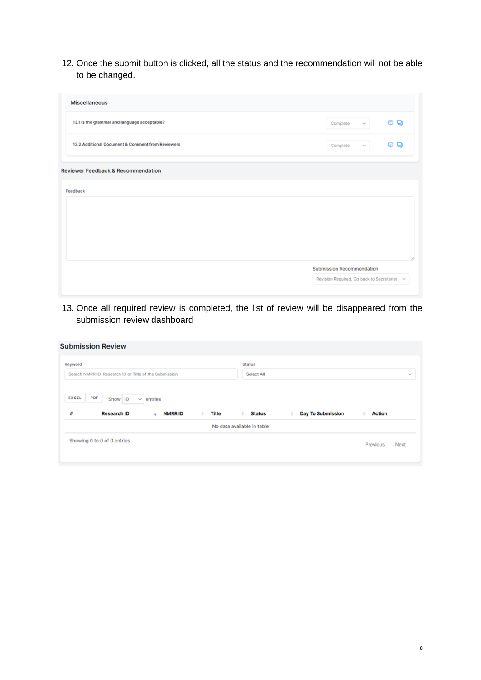12. Once the submit button is clicked, all the status and the recommendation will not be able to be changed.

| <b>Miscellaneous</b>                              |                                             |
|---------------------------------------------------|---------------------------------------------|
| 13.1 Is the grammar and language acceptable?      | e o<br>Complete<br>$\mathcal{M}$            |
| 13.2 Additional Document & Comment from Reviewers | 6 Q<br>Complete<br>$\mathcal{M}$            |
| <b>Reviewer Feedback &amp; Recommendation</b>     |                                             |
| Feedback                                          |                                             |
|                                                   |                                             |
|                                                   |                                             |
|                                                   |                                             |
|                                                   | Submission Recommendation                   |
|                                                   | Revision Required, Go back to Secretariat v |
|                                                   |                                             |

13. Once all required review is completed, the list of review will be disappeared from the submission review dashboard

| <b>Submission Review</b>                                                                          |                                                                                      |        |
|---------------------------------------------------------------------------------------------------|--------------------------------------------------------------------------------------|--------|
| Keyword                                                                                           | <b>Status</b>                                                                        |        |
| Search NMRR ID, Research ID or Title of the Submission                                            | Select All                                                                           | $\sim$ |
| <b>EXCEL</b><br>PDF<br>Show 10<br>$\vee$ entries<br>#<br><b>Research ID</b><br><b>NMRRID</b><br>٠ | <b>Day To Submission</b><br><b>Title</b><br><b>Status</b><br><b>Action</b><br>÷<br>٠ |        |
|                                                                                                   | No data available in table                                                           |        |
| Showing 0 to 0 of 0 entries                                                                       | Previous<br>Next                                                                     |        |
|                                                                                                   |                                                                                      |        |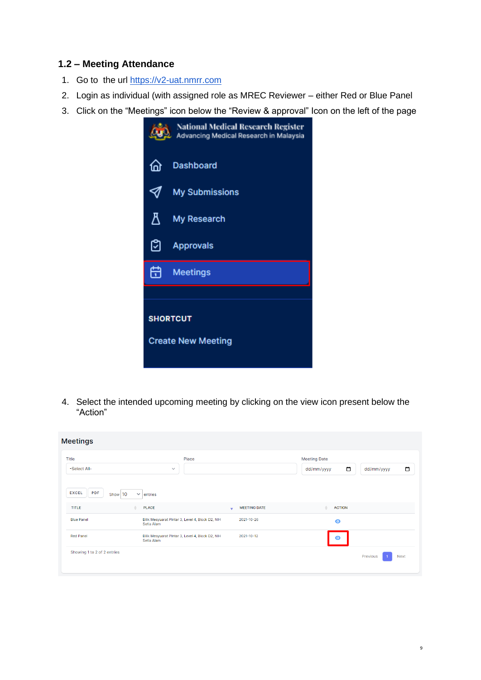### **1.2 – Meeting Attendance**

- 1. Go to the url [https://v2-uat.nmrr.com](https://v2-uat.cleaniquecoders.com/)
- 2. Login as individual (with assigned role as MREC Reviewer either Red or Blue Panel
- 3. Click on the "Meetings" icon below the "Review & approval" Icon on the left of the page



4. Select the intended upcoming meeting by clicking on the view icon present below the "Action"

| <b>Meetings</b>                                       |                                                                |                                                 |                                                           |        |
|-------------------------------------------------------|----------------------------------------------------------------|-------------------------------------------------|-----------------------------------------------------------|--------|
| Title<br>-Select All-                                 | Place<br>$\checkmark$                                          |                                                 | <b>Meeting Date</b><br>$\Box$<br>dd/mm/yyyy<br>dd/mm/yyyy | $\Box$ |
| <b>PDF</b><br><b>EXCEL</b><br>Show 10<br><b>TITLE</b> | $\checkmark$<br>entries<br><b>PLACE</b>                        | <b>MEETING DATE</b><br>$\overline{\phantom{a}}$ | Δ<br><b>ACTION</b>                                        |        |
| <b>Blue Panel</b>                                     | Bilik Mesyuarat Pintar 3, Level 4, Block D2, NIH<br>Setia Alam | 2021-10-26                                      | $\bullet$                                                 |        |
| <b>Red Panel</b>                                      | Bilik Mesyuarat Pintar 3, Level 4, Block D2, NIH<br>Setia Alam | 2021-10-12                                      | $\bullet$                                                 |        |
| Showing 1 to 2 of 2 entries                           |                                                                |                                                 | Previous                                                  | Next   |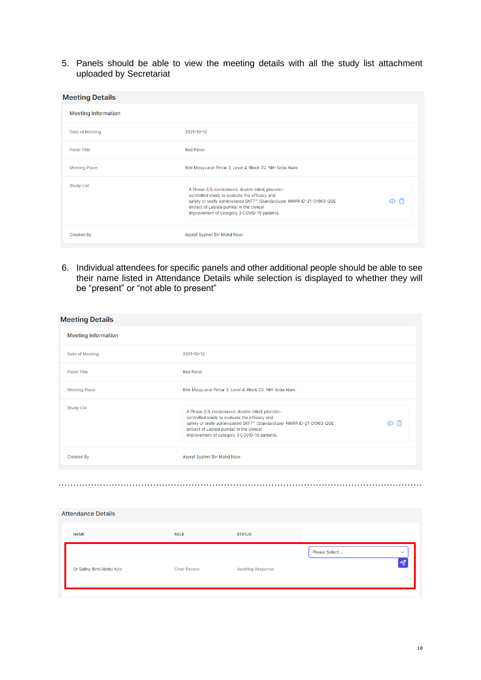5. Panels should be able to view the meeting details with all the study list attachment uploaded by Secretariat

| <b>Meeting Details</b>     |                                                                                                                                                                                                                                                                                    |
|----------------------------|------------------------------------------------------------------------------------------------------------------------------------------------------------------------------------------------------------------------------------------------------------------------------------|
| <b>Meeting Information</b> |                                                                                                                                                                                                                                                                                    |
| Date of Meeting            | 2021-10-12                                                                                                                                                                                                                                                                         |
| <b>Panel Title</b>         | <b>Red Panel</b>                                                                                                                                                                                                                                                                   |
| <b>Meeting Place</b>       | Bilik Mesyuarat Pintar 3, Level 4, Block D2, NIH Setia Alam                                                                                                                                                                                                                        |
| <b>Study List</b>          | A Phase 2/3, randomized, double-blind, placebo-<br>controlled study to evaluate the efficacy and<br>旧<br>safety of orally administered SKF7" (Standardized NMRR ID-21-01963-QGE<br>⊙<br>extract of Labisia pumila) in the clinical<br>improvement of category 3 COVID-19 patients. |
| <b>Created By</b>          | Asyraf Syahmi Bin Mohd Noor                                                                                                                                                                                                                                                        |

6. Individual attendees for specific panels and other additional people should be able to see their name listed in Attendance Details while selection is displayed to whether they will be "present" or "not able to present"

| <b>Meeting Details</b>     |                                                                                                                                                                                                                                                                                    |
|----------------------------|------------------------------------------------------------------------------------------------------------------------------------------------------------------------------------------------------------------------------------------------------------------------------------|
| <b>Meeting Information</b> |                                                                                                                                                                                                                                                                                    |
| Date of Meeting            | 2021-10-12                                                                                                                                                                                                                                                                         |
| <b>Panel Title</b>         | <b>Red Panel</b>                                                                                                                                                                                                                                                                   |
| <b>Meeting Place</b>       | Bilik Mesyuarat Pintar 3, Level 4, Block D2, NIH Setia Alam                                                                                                                                                                                                                        |
| <b>Study List</b>          | A Phase 2/3, randomized, double-blind, placebo-<br>controlled study to evaluate the efficacy and<br>囼<br>safety of orally administered SKF7" (Standardized NMRR ID-21-01963-QGE<br>⊙<br>extract of Labisia pumila) in the clinical<br>improvement of category 3 COVID-19 patients. |
| <b>Created By</b>          | Asyraf Syahmi Bin Mohd Noor                                                                                                                                                                                                                                                        |

| <b>Attendance Details</b>  |                     |                          |                               |
|----------------------------|---------------------|--------------------------|-------------------------------|
| <b>NAME</b>                | <b>ROLE</b>         | <b>STATUS</b>            |                               |
| Dr Salina Binti Abdul Aziz | <b>Chair Person</b> | <b>Awaiting Response</b> | Please Select<br>$\checkmark$ |

……………………………………………………………………………………………………………